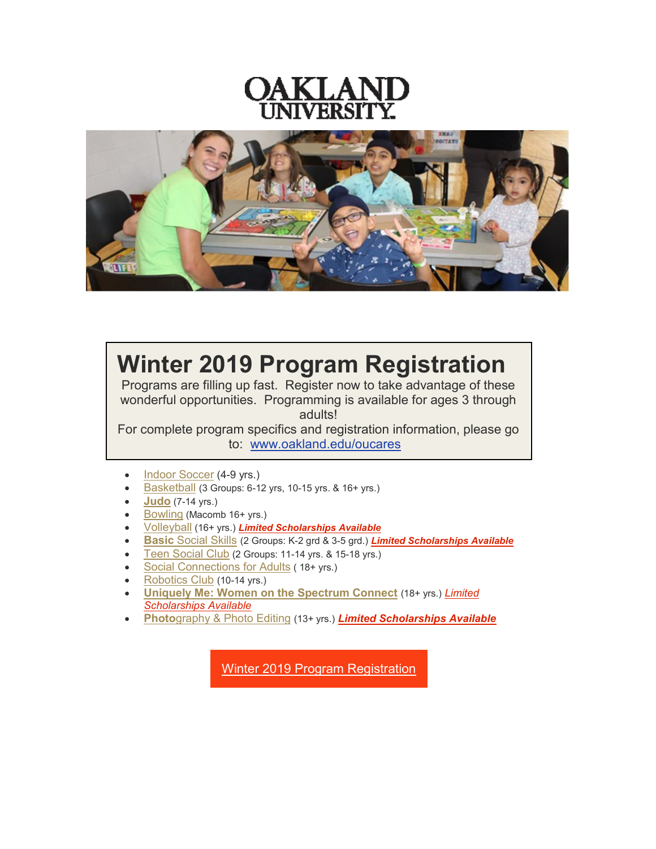



## **Winter 2019 Program Registration**

Programs are filling up fast. Register now to take advantage of these wonderful opportunities. Programming is available for ages 3 through adults!

For complete program specifics and registration information, please go to: [www.oakland.edu/oucares](https://t.e2ma.net/click/8ybby/o7se0j/0oqtbh)

- [Indoor Soccer](https://t.e2ma.net/click/8ybby/o7se0j/ghrtbh) (4-9 yrs.)
- [Basketball](https://t.e2ma.net/click/8ybby/o7se0j/w9rtbh) (3 Groups: 6-12 yrs, 10-15 yrs. & 16+ yrs.)
- **[Judo](https://t.e2ma.net/click/8ybby/o7se0j/c2stbh)** (7-14 yrs.)
- [Bowling](https://t.e2ma.net/click/8ybby/o7se0j/suttbh) (Macomb 16+ yrs.)
- [Volleyball](https://t.e2ma.net/click/8ybby/o7se0j/8mutbh) (16+ yrs.) *[Limited Scholarships Available](https://t.e2ma.net/click/8ybby/o7se0j/ofvtbh)*
- **[Basic](https://t.e2ma.net/click/8ybby/o7se0j/47vtbh)** [Social Skills](https://t.e2ma.net/click/8ybby/o7se0j/47vtbh) (2 Groups: K-2 grd & 3-5 grd.) *[Limited Scholarships Available](https://t.e2ma.net/click/8ybby/o7se0j/0sxtbh)*
- [Teen Social Club](https://t.e2ma.net/click/8ybby/o7se0j/glytbh) (2 Groups: 11-14 yrs. & 15-18 yrs.)
- [Social Connections for Adults](https://t.e2ma.net/click/8ybby/o7se0j/wdztbh) (18+ yrs.)
- [Robotics Club](https://t.e2ma.net/click/8ybby/o7se0j/c6ztbh) (10-14 yrs.)
- **[Uniquely Me: Women on the Spectrum Connect](https://t.e2ma.net/click/8ybby/o7se0j/sy0tbh)** (18+ yrs.) *[Limited](https://t.e2ma.net/click/8ybby/o7se0j/8q1tbh)  [Scholarships Available](https://t.e2ma.net/click/8ybby/o7se0j/8q1tbh)*
- **[Photo](https://t.e2ma.net/click/8ybby/o7se0j/oj2tbh)**[graphy & Photo Editing](https://t.e2ma.net/click/8ybby/o7se0j/oj2tbh) (13+ yrs.) *[Limited Scholarships Available](https://t.e2ma.net/click/8ybby/o7se0j/k43tbh)*

Winter 2019 Program [Registration](https://t.e2ma.net/click/8ybby/o7se0j/0w4tbh)